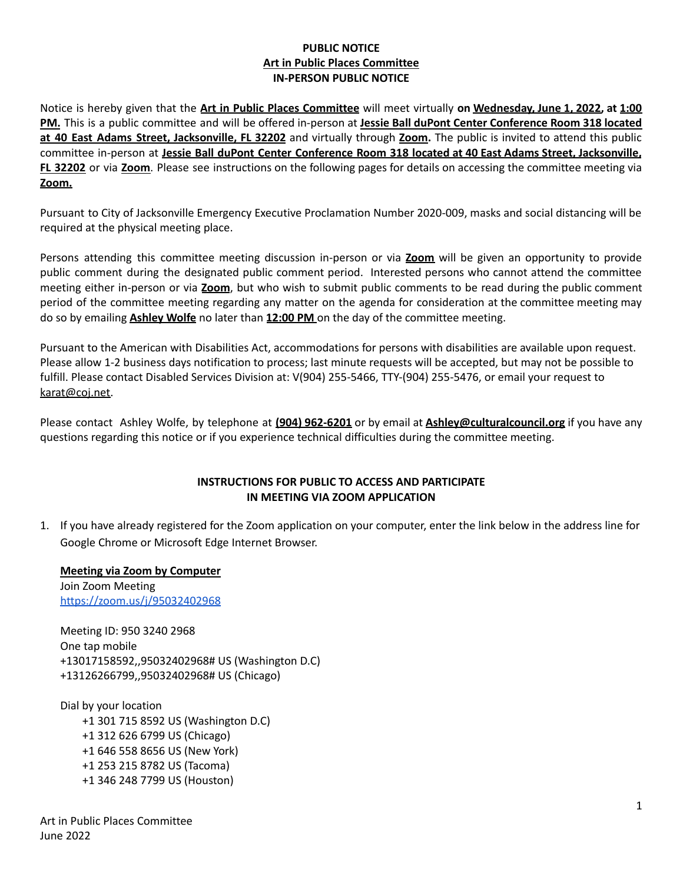## **PUBLIC NOTICE Art in Public Places Committee IN-PERSON PUBLIC NOTICE**

Notice is hereby given that the **Art in Public Places Committee** will meet virtually **on Wednesday, June 1, 2022, at 1:00 PM.** This is a public committee and will be offered in-person at **Jessie Ball duPont Center Conference Room 318 located at 40 East Adams Street, Jacksonville, FL 32202** and virtually through **Zoom.** The public is invited to attend this public committee in-person at **Jessie Ball duPont Center Conference Room 318 located at 40 East Adams Street, Jacksonville, FL 32202** or via **Zoom**. Please see instructions on the following pages for details on accessing the committee meeting via **Zoom.**

Pursuant to City of Jacksonville Emergency Executive Proclamation Number 2020-009, masks and social distancing will be required at the physical meeting place.

Persons attending this committee meeting discussion in-person or via **Zoom** will be given an opportunity to provide public comment during the designated public comment period. Interested persons who cannot attend the committee meeting either in-person or via **Zoom**, but who wish to submit public comments to be read during the public comment period of the committee meeting regarding any matter on the agenda for consideration at the committee meeting may do so by emailing **Ashley Wolfe** no later than **12:00 PM** on the day of the committee meeting.

Pursuant to the American with Disabilities Act, accommodations for persons with disabilities are available upon request. Please allow 1-2 business days notification to process; last minute requests will be accepted, but may not be possible to fulfill. Please contact Disabled Services Division at: V(904) 255-5466, TTY-(904) 255-5476, or email your request to [karat@coj.net.](mailto:karat@coj.net)

Please contact Ashley Wolfe, by telephone at **(904) 962-6201** or by email at **Ashley@culturalcouncil.org** if you have any questions regarding this notice or if you experience technical difficulties during the committee meeting.

## **INSTRUCTIONS FOR PUBLIC TO ACCESS AND PARTICIPATE IN MEETING VIA ZOOM APPLICATION**

1. If you have already registered for the Zoom application on your computer, enter the link below in the address line for Google Chrome or Microsoft Edge Internet Browser.

**Meeting via Zoom by Computer** Join Zoom Meeting <https://zoom.us/j/95032402968>

Meeting ID: 950 3240 2968 One tap mobile +13017158592,,95032402968# US (Washington D.C) +13126266799,,95032402968# US (Chicago)

Dial by your location +1 301 715 8592 US (Washington D.C) +1 312 626 6799 US (Chicago) +1 646 558 8656 US (New York) +1 253 215 8782 US (Tacoma) +1 346 248 7799 US (Houston)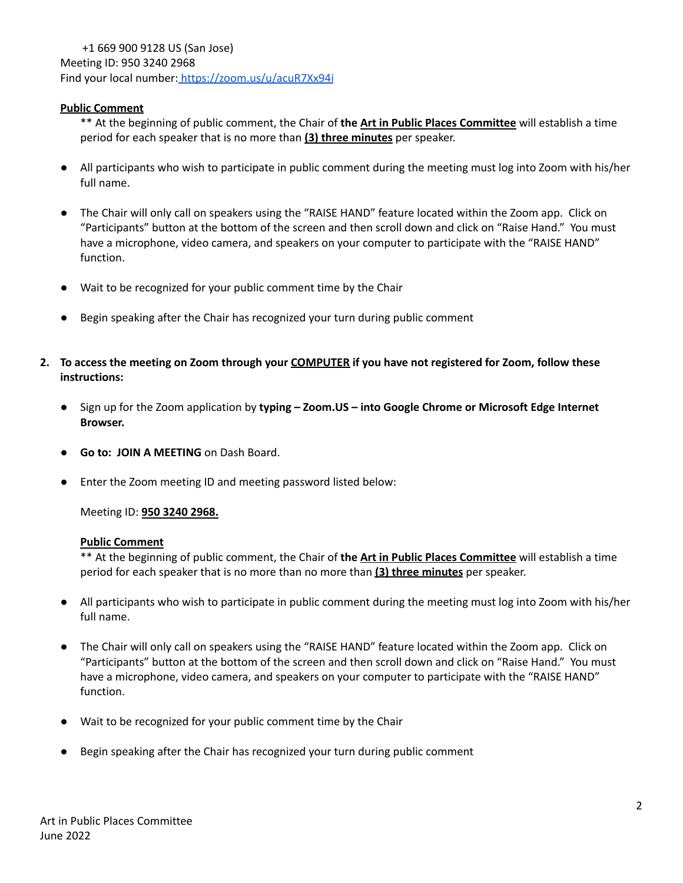### **Public Comment**

\*\* At the beginning of public comment, the Chair of **the Art in Public Places Committee** will establish a time period for each speaker that is no more than **(3) three minutes** per speaker.

- All participants who wish to participate in public comment during the meeting must log into Zoom with his/her full name.
- The Chair will only call on speakers using the "RAISE HAND" feature located within the Zoom app. Click on "Participants" button at the bottom of the screen and then scroll down and click on "Raise Hand." You must have a microphone, video camera, and speakers on your computer to participate with the "RAISE HAND" function.
- Wait to be recognized for your public comment time by the Chair
- Begin speaking after the Chair has recognized your turn during public comment
- 2. To access the meeting on Zoom through your COMPUTER if you have not registered for Zoom, follow these **instructions:**
	- **●** Sign up for the Zoom application by **typing – Zoom.US – into Google Chrome or Microsoft Edge Internet Browser.**
	- **Go to: JOIN A MEETING** on Dash Board.
	- **●** Enter the Zoom meeting ID and meeting password listed below:

Meeting ID: **950 3240 2968.**

#### **Public Comment**

\*\* At the beginning of public comment, the Chair of **the Art in Public Places Committee** will establish a time period for each speaker that is no more than no more than **(3) three minutes** per speaker.

- All participants who wish to participate in public comment during the meeting must log into Zoom with his/her full name.
- The Chair will only call on speakers using the "RAISE HAND" feature located within the Zoom app. Click on "Participants" button at the bottom of the screen and then scroll down and click on "Raise Hand." You must have a microphone, video camera, and speakers on your computer to participate with the "RAISE HAND" function.
- Wait to be recognized for your public comment time by the Chair
- Begin speaking after the Chair has recognized your turn during public comment